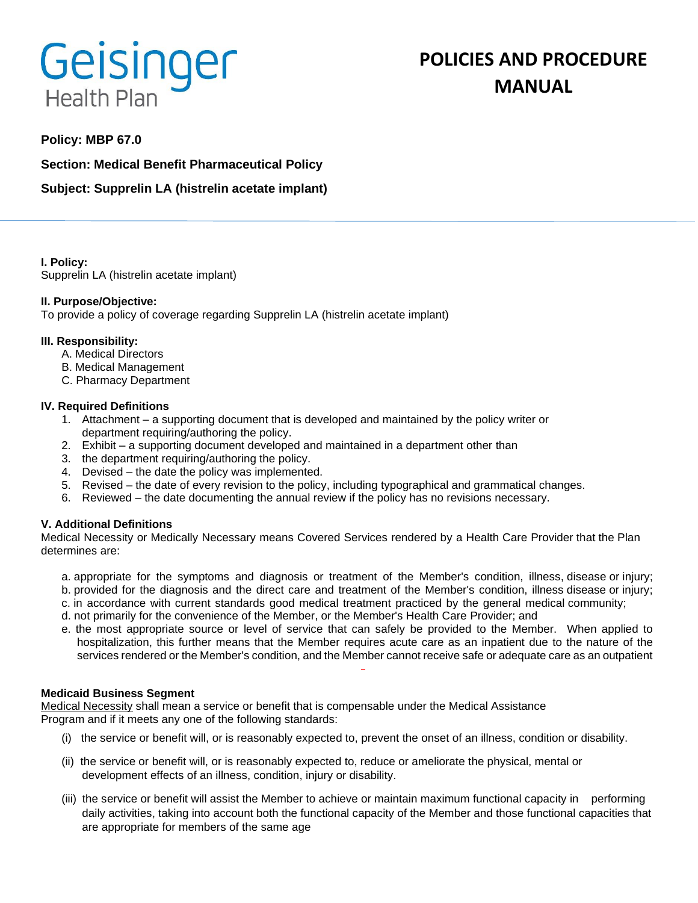# Geisinger **Health Plan**

# **POLICIES AND PROCEDURE MANUAL**

# **Policy: MBP 67.0**

**Section: Medical Benefit Pharmaceutical Policy**

**Subject: Supprelin LA (histrelin acetate implant)** 

**I. Policy:**

Supprelin LA (histrelin acetate implant)

#### **II. Purpose/Objective:**

To provide a policy of coverage regarding Supprelin LA (histrelin acetate implant)

#### **III. Responsibility:**

- A. Medical Directors
- B. Medical Management
- C. Pharmacy Department

#### **IV. Required Definitions**

- 1. Attachment a supporting document that is developed and maintained by the policy writer or department requiring/authoring the policy.
- 2. Exhibit a supporting document developed and maintained in a department other than
- 3. the department requiring/authoring the policy.
- 4. Devised the date the policy was implemented.
- 5. Revised the date of every revision to the policy, including typographical and grammatical changes.
- 6. Reviewed the date documenting the annual review if the policy has no revisions necessary.

#### **V. Additional Definitions**

Medical Necessity or Medically Necessary means Covered Services rendered by a Health Care Provider that the Plan determines are:

- a. appropriate for the symptoms and diagnosis or treatment of the Member's condition, illness, disease or injury; b. provided for the diagnosis and the direct care and treatment of the Member's condition, illness disease or injury;
- c. in accordance with current standards good medical treatment practiced by the general medical community;
- d. not primarily for the convenience of the Member, or the Member's Health Care Provider; and
- e. the most appropriate source or level of service that can safely be provided to the Member. When applied to hospitalization, this further means that the Member requires acute care as an inpatient due to the nature of the services rendered or the Member's condition, and the Member cannot receive safe or adequate care as an outpatient

#### **Medicaid Business Segment**

Medical Necessity shall mean a service or benefit that is compensable under the Medical Assistance Program and if it meets any one of the following standards:

- (i) the service or benefit will, or is reasonably expected to, prevent the onset of an illness, condition or disability.
- (ii) the service or benefit will, or is reasonably expected to, reduce or ameliorate the physical, mental or development effects of an illness, condition, injury or disability.
- (iii) the service or benefit will assist the Member to achieve or maintain maximum functional capacity in performing daily activities, taking into account both the functional capacity of the Member and those functional capacities that are appropriate for members of the same age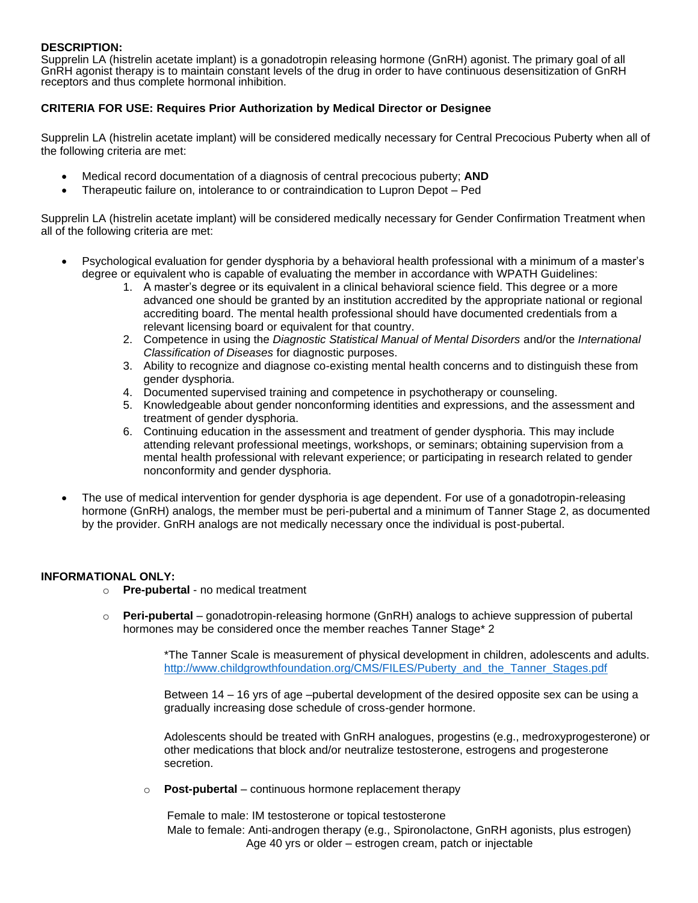## **DESCRIPTION:**

Supprelin LA (histrelin acetate implant) is a gonadotropin releasing hormone (GnRH) agonist. The primary goal of all GnRH agonist therapy is to maintain constant levels of the drug in order to have continuous desensitization of GnRH receptors and thus complete hormonal inhibition.

## **CRITERIA FOR USE: Requires Prior Authorization by Medical Director or Designee**

Supprelin LA (histrelin acetate implant) will be considered medically necessary for Central Precocious Puberty when all of the following criteria are met:

- Medical record documentation of a diagnosis of central precocious puberty; **AND**
- Therapeutic failure on, intolerance to or contraindication to Lupron Depot Ped

Supprelin LA (histrelin acetate implant) will be considered medically necessary for Gender Confirmation Treatment when all of the following criteria are met:

- Psychological evaluation for gender dysphoria by a behavioral health professional with a minimum of a master's degree or equivalent who is capable of evaluating the member in accordance with WPATH Guidelines:
	- 1. A master's degree or its equivalent in a clinical behavioral science field. This degree or a more advanced one should be granted by an institution accredited by the appropriate national or regional accrediting board. The mental health professional should have documented credentials from a relevant licensing board or equivalent for that country.
	- 2. Competence in using the *Diagnostic Statistical Manual of Mental Disorders* and/or the *International Classification of Diseases* for diagnostic purposes.
	- 3. Ability to recognize and diagnose co-existing mental health concerns and to distinguish these from gender dysphoria.
	- 4. Documented supervised training and competence in psychotherapy or counseling.
	- 5. Knowledgeable about gender nonconforming identities and expressions, and the assessment and treatment of gender dysphoria.
	- 6. Continuing education in the assessment and treatment of gender dysphoria. This may include attending relevant professional meetings, workshops, or seminars; obtaining supervision from a mental health professional with relevant experience; or participating in research related to gender nonconformity and gender dysphoria.
- The use of medical intervention for gender dysphoria is age dependent. For use of a gonadotropin-releasing hormone (GnRH) analogs, the member must be peri-pubertal and a minimum of Tanner Stage 2, as documented by the provider. GnRH analogs are not medically necessary once the individual is post-pubertal.

#### **INFORMATIONAL ONLY:**

- o **Pre-pubertal**  no medical treatment
- o **Peri-pubertal**  gonadotropin-releasing hormone (GnRH) analogs to achieve suppression of pubertal hormones may be considered once the member reaches Tanner Stage\* 2

\*The Tanner Scale is measurement of physical development in children, adolescents and adults. [http://www.childgrowthfoundation.org/CMS/FILES/Puberty\\_and\\_the\\_Tanner\\_Stages.pdf](http://www.childgrowthfoundation.org/CMS/FILES/Puberty_and_the_Tanner_Stages.pdf)

Between 14 – 16 yrs of age –pubertal development of the desired opposite sex can be using a gradually increasing dose schedule of cross-gender hormone.

Adolescents should be treated with GnRH analogues, progestins (e.g., medroxyprogesterone) or other medications that block and/or neutralize testosterone, estrogens and progesterone secretion.

o **Post-pubertal** – continuous hormone replacement therapy

Female to male: IM testosterone or topical testosterone Male to female: Anti-androgen therapy (e.g., Spironolactone, GnRH agonists, plus estrogen) Age 40 yrs or older – estrogen cream, patch or injectable